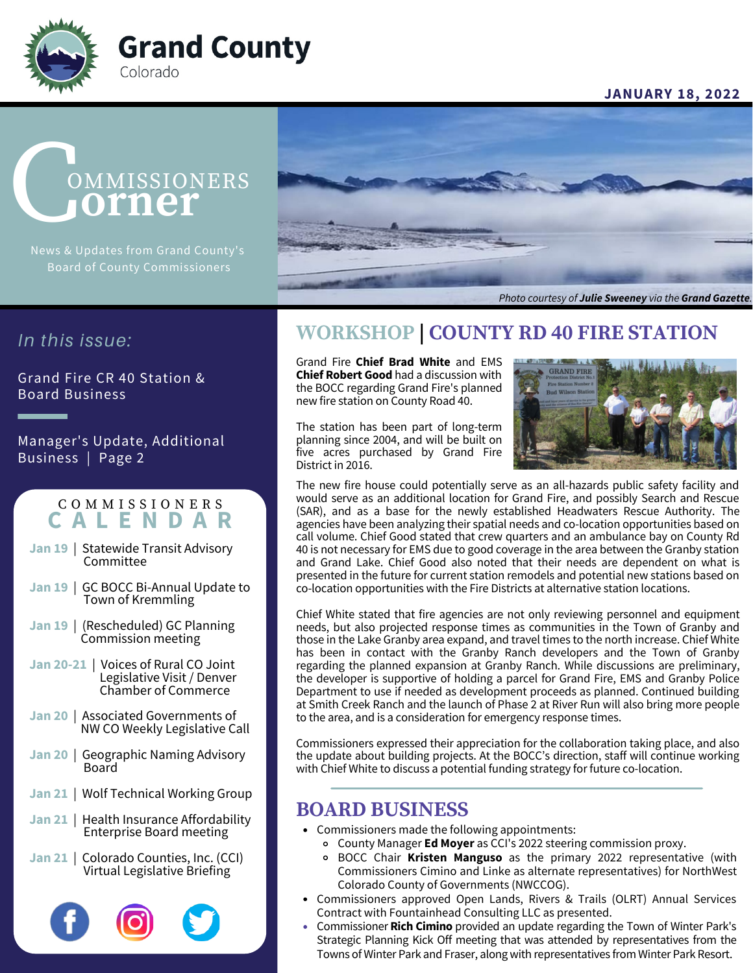

#### **JANUARY 18, 2022**

# **OMMISSIONERS orner**

Board of County Commissioners



#### *Photo courtesy of Julie Sweeney via the Grand Gazette.*

## *In this issue:*

Grand Fire CR 40 Station & Board Business

Manager's Update, Additional Business | Page 2

### C O M M I S S I O N E R S **C A L E N D A R**

- **Jan 19** | Statewide Transit Advisory **Committee**
- **Jan 19** | GC BOCC Bi-Annual Update to Town of Kremmling
- **Jan 19** | (Rescheduled) GC Planning Commission meeting
- **Jan 20-21** | Voices of Rural CO Joint Legislative Visit / Denver Chamber of Commerce
- **Jan 20** | Associated Governments of NW CO Weekly Legislative Call
- **Jan 20** | Geographic Naming Advisory Board
- **Jan 21** | Wolf Technical Working Group
- **Jan 21** | Health Insurance Affordability Enterprise Board meeting
- **Jan 21** | Colorado Counties, Inc. (CCI) Virtual Legislative Briefing



# **WORKSHOP | COUNTY RD 40 FIRE STATION**

Grand Fire **Chief Brad White** and EMS **Chief Robert Good** had a discussion with the BOCC regarding Grand Fire's planned new fire station on County Road 40.

The station has been part of long-term planning since 2004, and will be built on five acres purchased by Grand Fire District in 2016.



The new fire house could potentially serve as an all-hazards public safety facility and would serve as an additional location for Grand Fire, and possibly Search and Rescue (SAR), and as a base for the newly established Headwaters Rescue Authority. The agencies have been analyzing their spatial needs and co-location opportunities based on call volume. Chief Good stated that crew quarters and an ambulance bay on County Rd 40 is not necessary for EMS due to good coverage in the area between the Granby station and Grand Lake. Chief Good also noted that their needs are dependent on what is presented in the future for current station remodels and potential new stations based on co-location opportunities with the Fire Districts at alternative station locations.

Chief White stated that fire agencies are not only reviewing personnel and equipment needs, but also projected response times as communities in the Town of Granby and those in the Lake Granby area expand, and travel times to the north increase. Chief White has been in contact with the Granby Ranch developers and the Town of Granby regarding the planned expansion at Granby Ranch. While discussions are preliminary, the developer is supportive of holding a parcel for Grand Fire, EMS and Granby Police Department to use if needed as development proceeds as planned. Continued building at Smith Creek Ranch and the launch of Phase 2 at River Run will also bring more people to the area, and is a consideration for emergency response times.

Commissioners expressed their appreciation for the collaboration taking place, and also the update about building projects. At the BOCC's direction, staff will continue working with Chief White to discuss a potential funding strategy for future co-location.

## **BOARD BUSINESS**

- Commissioners made the following appointments:
	- County Manager **Ed Moyer** as CCI's 2022 steering commission proxy.
	- BOCC Chair **Kristen Manguso** as the primary 2022 representative (with Commissioners Cimino and Linke as alternate representatives) for NorthWest Colorado County of Governments (NWCCOG).
- Commissioners approved Open Lands, Rivers & Trails (OLRT) Annual Services Contract with Fountainhead Consulting LLC as presented.
- Commissioner **Rich Cimino** provided an update regarding the Town of Winter Park's Strategic Planning Kick Off meeting that was attended by representatives from the Towns of Winter Park and Fraser, along with representatives from Winter Park Resort.